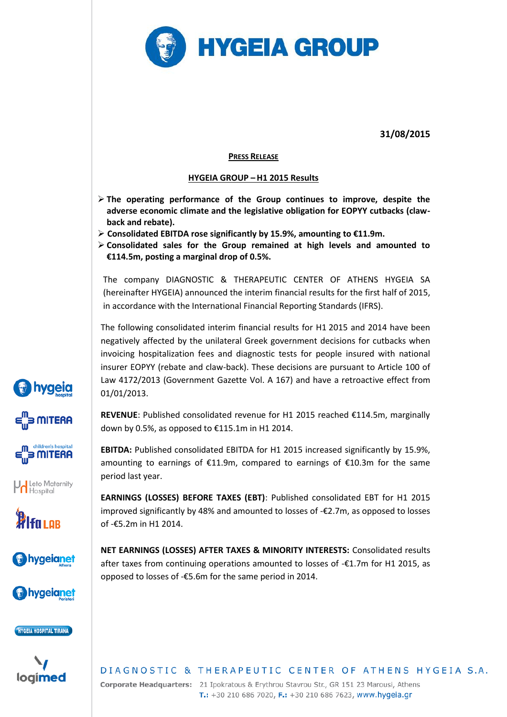

**31/08/2015**

### **PRESS RELEASE**

### **HYGEIA GROUP –H1 2015 Results**

- **The operating performance of the Group continues to improve, despite the adverse economic climate and the legislative obligation for EOPYY cutbacks (clawback and rebate).**
- **Consolidated EBITDA rose significantly by 15.9%, amounting to €11.9m.**
- **Consolidated sales for the Group remained at high levels and amounted to €114.5m, posting a marginal drop of 0.5%.**

The company DIAGNOSTIC & THERAPEUTIC CENTER OF ATHENS HYGEIA SA (hereinafter HYGEIA) announced the interim financial results for the first half of 2015, in accordance with the International Financial Reporting Standards (IFRS).

The following consolidated interim financial results for H1 2015 and 2014 have been negatively affected by the unilateral Greek government decisions for cutbacks when invoicing hospitalization fees and diagnostic tests for people insured with national insurer EOPYY (rebate and claw-back). These decisions are pursuant to Article 100 of Law 4172/2013 (Government Gazette Vol. A 167) and have a retroactive effect from 01/01/2013.

**REVENUE**: Published consolidated revenue for H1 2015 reached €114.5m, marginally down by 0.5%, as opposed to €115.1m in H1 2014.

**EBITDA:** Published consolidated EBITDA for H1 2015 increased significantly by 15.9%, amounting to earnings of €11.9m, compared to earnings of €10.3m for the same period last year.

**EARNINGS (LOSSES) BEFORE TAXES (EBT)**: Published consolidated EBT for H1 2015 improved significantly by 48% and amounted to losses of -€2.7m, as opposed to losses of -€5.2m in H1 2014.

**NET EARNINGS (LOSSES) AFTER TAXES & MINORITY INTERESTS:** Consolidated results after taxes from continuing operations amounted to losses of -€1.7m for H1 2015, as opposed to losses of -€5.6m for the same period in 2014.

## DIAGNOSTIC & THERAPEUTIC CENTER OF ATHENS HYGEIA S.A. Corporate Headquarters: 21 Ipokratous & Erythrou Stavrou Str., GR 151 23 Marousi, Athens

T.: +30 210 686 7020, F.: +30 210 686 7623, www.hygeia.gr

*bygeig* 3 MITERA



Leto Maternity







HYGEIA HOSPITAL TIRANA